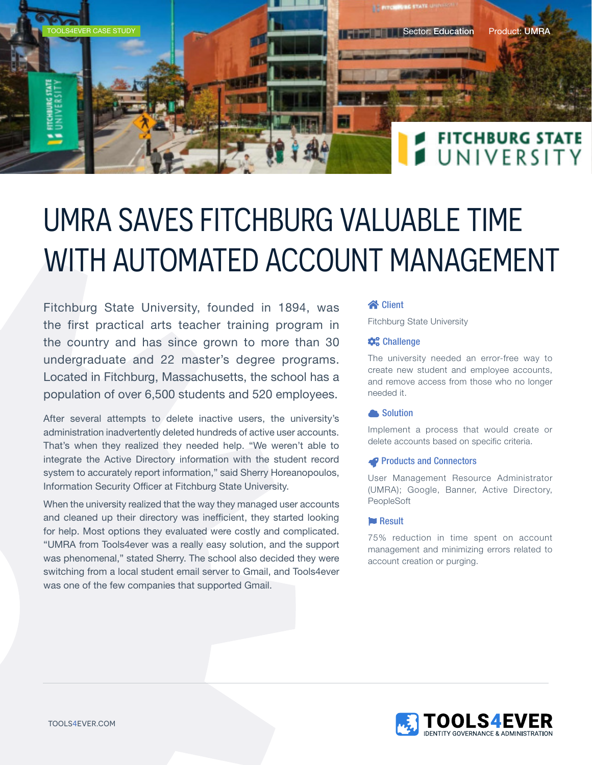

# UMRA SAVES FITCHBURG VALUABLE TIME WITH AUTOMATED ACCOUNT MANAGEMENT

Fitchburg State University, founded in 1894, was the first practical arts teacher training program in the country and has since grown to more than 30 undergraduate and 22 master's degree programs. Located in Fitchburg, Massachusetts, the school has a population of over 6,500 students and 520 employees.

After several attempts to delete inactive users, the university's administration inadvertently deleted hundreds of active user accounts. That's when they realized they needed help. "We weren't able to integrate the Active Directory information with the student record system to accurately report information," said Sherry Horeanopoulos, Information Security Officer at Fitchburg State University.

When the university realized that the way they managed user accounts and cleaned up their directory was inefficient, they started looking for help. Most options they evaluated were costly and complicated. "UMRA from Tools4ever was a really easy solution, and the support was phenomenal," stated Sherry. The school also decided they were switching from a local student email server to Gmail, and Tools4ever was one of the few companies that supported Gmail.

### **R** Client

Fitchburg State University

### **Challenge**

The university needed an error-free way to create new student and employee accounts, and remove access from those who no longer needed it.

### **Solution**

Implement a process that would create or delete accounts based on specific criteria.

### **P** Products and Connectors

User Management Resource Administrator (UMRA); Google, Banner, Active Directory, PeopleSoft

### **Result**

75% reduction in time spent on account management and minimizing errors related to account creation or purging.